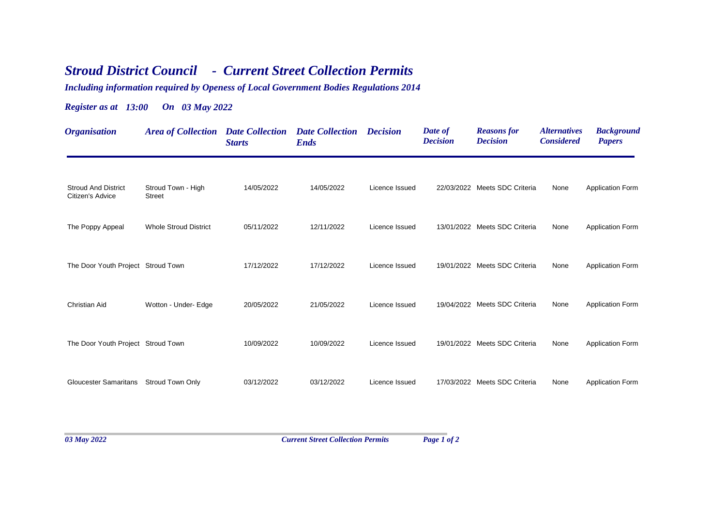## *Stroud District Council - Current Street Collection Permits*

*Including information required by Openess of Local Government Bodies Regulations 2014*

## *Register as at 13:00 On 03 May 2022*

| <b>Organisation</b>                            | <b>Area of Collection Date Collection</b> | <b>Starts</b> | <b>Date Collection Decision</b><br><b>Ends</b> |                | Date of<br><b>Decision</b> | <b>Reasons for</b><br><b>Decision</b> | <i><b>Alternatives</b></i><br><b>Considered</b> | <b>Background</b><br><b>Papers</b> |
|------------------------------------------------|-------------------------------------------|---------------|------------------------------------------------|----------------|----------------------------|---------------------------------------|-------------------------------------------------|------------------------------------|
| <b>Stroud And District</b><br>Citizen's Advice | Stroud Town - High<br><b>Street</b>       | 14/05/2022    | 14/05/2022                                     | Licence Issued |                            | 22/03/2022 Meets SDC Criteria         | None                                            | <b>Application Form</b>            |
| The Poppy Appeal                               | <b>Whole Stroud District</b>              | 05/11/2022    | 12/11/2022                                     | Licence Issued |                            | 13/01/2022 Meets SDC Criteria         | None                                            | <b>Application Form</b>            |
| The Door Youth Project Stroud Town             |                                           | 17/12/2022    | 17/12/2022                                     | Licence Issued |                            | 19/01/2022 Meets SDC Criteria         | None                                            | <b>Application Form</b>            |
| Christian Aid                                  | Wotton - Under- Edge                      | 20/05/2022    | 21/05/2022                                     | Licence Issued |                            | 19/04/2022 Meets SDC Criteria         | None                                            | <b>Application Form</b>            |
| The Door Youth Project Stroud Town             |                                           | 10/09/2022    | 10/09/2022                                     | Licence Issued |                            | 19/01/2022 Meets SDC Criteria         | None                                            | <b>Application Form</b>            |
| <b>Gloucester Samaritans</b>                   | <b>Stroud Town Only</b>                   | 03/12/2022    | 03/12/2022                                     | Licence Issued |                            | 17/03/2022 Meets SDC Criteria         | None                                            | <b>Application Form</b>            |
|                                                |                                           |               |                                                |                |                            |                                       |                                                 |                                    |